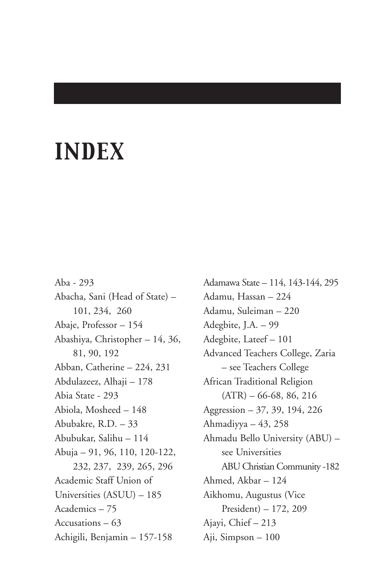# *INDEX*

Aba - 293 Abacha, Sani (Head of State) – 101, 234, 260 Abaje, Professor – 154 Abashiya, Christopher – 14, 36, 81, 90, 192 Abban, Catherine – 224, 231 Abdulazeez, Alhaji – 178 Abia State - 293 Abiola, Mosheed – 148 Abubakre, R.D. – 33 Abubukar, Salihu – 114 Abuja – 91, 96, 110, 120-122, 232, 237, 239, 265, 296 Academic Staff Union of Universities (ASUU) – 185 Academics – 75 Accusations – 63 Achigili, Benjamin – 157-158

Adamawa State – 114, 143-144, 295 Adamu, Hassan – 224 Adamu, Suleiman – 220 Adegbite, J.A. – 99 Adegbite, Lateef – 101 Advanced Teachers College, Zaria – see Teachers College African Traditional Religion  $(ATR) - 66-68, 86, 216$ Aggression – 37, 39, 194, 226 Ahmadiyya – 43, 258 Ahmadu Bello University (ABU) – see Universities ABU Christian Community -182 Ahmed, Akbar – 124 Aikhomu, Augustus (Vice President) – 172, 209 Ajayi, Chief – 213 Aji, Simpson – 100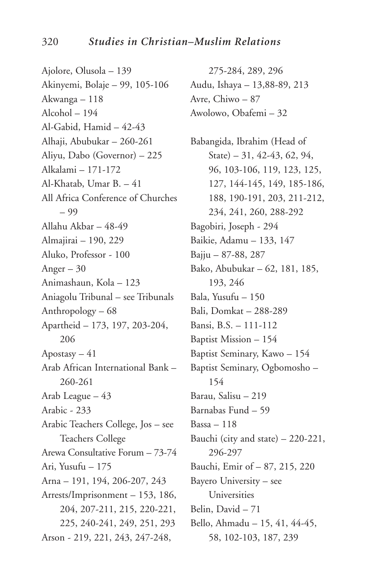Ajolore, Olusola – 139 Akinyemi, Bolaje – 99, 105-106 Akwanga – 118 Alcohol – 194 Al-Gabid, Hamid – 42-43 Alhaji, Abubukar – 260-261 Aliyu, Dabo (Governor) – 225 Alkalami – 171-172 Al-Khatab, Umar B. – 41 All Africa Conference of Churches – 99 Allahu Akbar – 48-49 Almajirai – 190, 229 Aluko, Professor - 100 Anger  $-30$ Animashaun, Kola – 123 Aniagolu Tribunal – see Tribunals Anthropology – 68 Apartheid – 173, 197, 203-204, 206 Apostasy  $-41$ Arab African International Bank – 260-261 Arab League – 43 Arabic - 233 Arabic Teachers College, Jos – see Teachers College Arewa Consultative Forum – 73-74 Ari, Yusufu – 175 Arna – 191, 194, 206-207, 243 Arrests/Imprisonment – 153, 186, 204, 207-211, 215, 220-221, 225, 240-241, 249, 251, 293 Arson - 219, 221, 243, 247-248,

275-284, 289, 296 Audu, Ishaya – 13,88-89, 213 Avre, Chiwo – 87 Awolowo, Obafemi – 32

Babangida, Ibrahim (Head of State) – 31, 42-43, 62, 94, 96, 103-106, 119, 123, 125, 127, 144-145, 149, 185-186, 188, 190-191, 203, 211-212, 234, 241, 260, 288-292 Bagobiri, Joseph - 294 Baikie, Adamu – 133, 147 Bajju – 87-88, 287 Bako, Abubukar – 62, 181, 185, 193, 246 Bala, Yusufu – 150 Bali, Domkat – 288-289 Bansi, B.S. – 111-112 Baptist Mission – 154 Baptist Seminary, Kawo – 154 Baptist Seminary, Ogbomosho – 154 Barau, Salisu – 219 Barnabas Fund – 59 Bassa – 118 Bauchi (city and state) – 220-221, 296-297 Bauchi, Emir of – 87, 215, 220 Bayero University – see Universities Belin, David – 71 Bello, Ahmadu – 15, 41, 44-45, 58, 102-103, 187, 239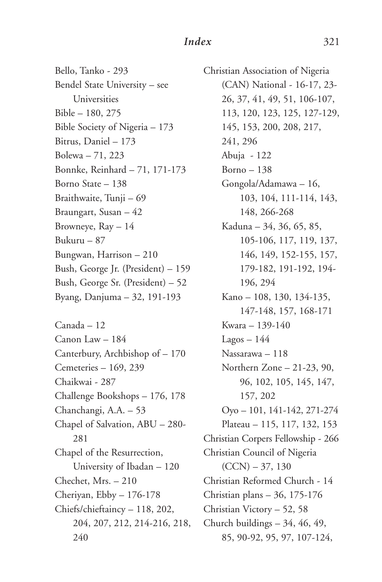Bello, Tanko - 293 Bendel State University – see Universities Bible – 180, 275 Bible Society of Nigeria – 173 Bitrus, Daniel – 173 Bolewa – 71, 223 Bonnke, Reinhard – 71, 171-173 Borno State – 138 Braithwaite, Tunji – 69 Braungart, Susan – 42 Browneye, Ray – 14 Bukuru – 87 Bungwan, Harrison – 210 Bush, George Jr. (President) – 159 Bush, George Sr. (President) – 52 Byang, Danjuma – 32, 191-193

Canada – 12 Canon Law – 184 Canterbury, Archbishop of – 170 Cemeteries – 169, 239 Chaikwai - 287 Challenge Bookshops – 176, 178 Chanchangi, A.A. – 53 Chapel of Salvation, ABU – 280- 281 Chapel of the Resurrection, University of Ibadan – 120 Chechet, Mrs. – 210 Cheriyan, Ebby – 176-178 Chiefs/chieftaincy – 118, 202, 204, 207, 212, 214-216, 218, 240

Christian Association of Nigeria (CAN) National - 16-17, 23- 26, 37, 41, 49, 51, 106-107, 113, 120, 123, 125, 127-129, 145, 153, 200, 208, 217, 241, 296 Abuja - 122 Borno – 138 Gongola/Adamawa – 16, 103, 104, 111-114, 143, 148, 266-268 Kaduna – 34, 36, 65, 85, 105-106, 117, 119, 137, 146, 149, 152-155, 157, 179-182, 191-192, 194- 196, 294 Kano – 108, 130, 134-135, 147-148, 157, 168-171 Kwara – 139-140  $Lagos - 144$ Nassarawa – 118 Northern Zone – 21-23, 90, 96, 102, 105, 145, 147, 157, 202 Oyo – 101, 141-142, 271-274 Plateau – 115, 117, 132, 153 Christian Corpers Fellowship - 266 Christian Council of Nigeria  $(CCN) - 37, 130$ Christian Reformed Church - 14 Christian plans – 36, 175-176 Christian Victory – 52, 58 Church buildings – 34, 46, 49, 85, 90-92, 95, 97, 107-124,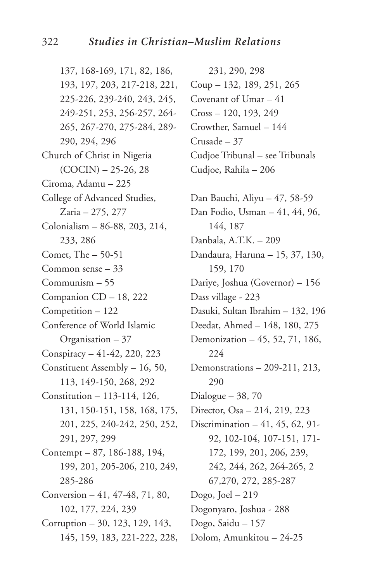137, 168-169, 171, 82, 186, 193, 197, 203, 217-218, 221, 225-226, 239-240, 243, 245, 249-251, 253, 256-257, 264- 265, 267-270, 275-284, 289- 290, 294, 296 Church of Christ in Nigeria  $(COCIN) - 25-26, 28$ Ciroma, Adamu – 225 College of Advanced Studies, Zaria – 275, 277 Colonialism – 86-88, 203, 214, 233, 286 Comet, The – 50-51 Common sense – 33 Communism – 55 Companion CD – 18, 222 Competition – 122 Conference of World Islamic Organisation – 37 Conspiracy – 41-42, 220, 223 Constituent Assembly – 16, 50, 113, 149-150, 268, 292 Constitution – 113-114, 126, 131, 150-151, 158, 168, 175, 201, 225, 240-242, 250, 252, 291, 297, 299 Contempt – 87, 186-188, 194, 199, 201, 205-206, 210, 249, 285-286 Conversion – 41, 47-48, 71, 80, 102, 177, 224, 239 Corruption – 30, 123, 129, 143, 145, 159, 183, 221-222, 228,

231, 290, 298 Coup – 132, 189, 251, 265 Covenant of Umar – 41 Cross – 120, 193, 249 Crowther, Samuel – 144 Crusade – 37 Cudjoe Tribunal – see Tribunals Cudjoe, Rahila – 206 Dan Bauchi, Aliyu – 47, 58-59 Dan Fodio, Usman – 41, 44, 96, 144, 187 Danbala, A.T.K. – 209 Dandaura, Haruna – 15, 37, 130, 159, 170 Dariye, Joshua (Governor) – 156 Dass village - 223 Dasuki, Sultan Ibrahim – 132, 196 Deedat, Ahmed – 148, 180, 275 Demonization – 45, 52, 71, 186, 224 Demonstrations – 209-211, 213, 290 Dialogue – 38, 70 Director, Osa – 214, 219, 223 Discrimination – 41, 45, 62, 91- 92, 102-104, 107-151, 171- 172, 199, 201, 206, 239, 242, 244, 262, 264-265, 2 67,270, 272, 285-287 Dogo, Joel – 219 Dogonyaro, Joshua - 288 Dogo, Saidu – 157 Dolom, Amunkitou – 24-25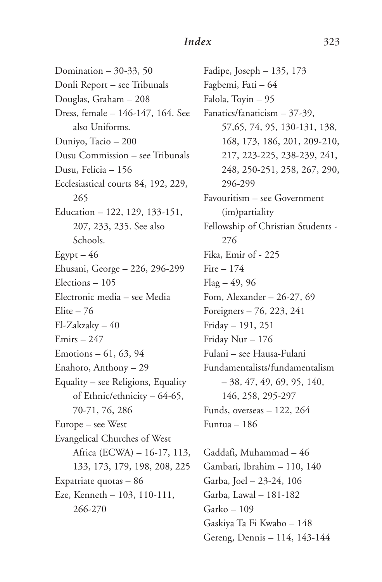Domination – 30-33, 50 Donli Report – see Tribunals Douglas, Graham – 208 Dress, female – 146-147, 164. See also Uniforms. Duniyo, Tacio – 200 Dusu Commission – see Tribunals Dusu, Felicia – 156 Ecclesiastical courts 84, 192, 229, 265 Education – 122, 129, 133-151, 207, 233, 235. See also Schools.  $E$ gypt – 46 Ehusani, George – 226, 296-299 Elections – 105 Electronic media – see Media Elite  $-76$ El-Zakzaky – 40 Emirs – 247 Emotions – 61, 63, 94 Enahoro, Anthony – 29 Equality – see Religions, Equality of Ethnic/ethnicity – 64-65, 70-71, 76, 286 Europe – see West Evangelical Churches of West Africa (ECWA) – 16-17, 113, 133, 173, 179, 198, 208, 225 Expatriate quotas – 86 Eze, Kenneth – 103, 110-111, 266-270

Fadipe, Joseph – 135, 173 Fagbemi, Fati – 64 Falola, Toyin – 95 Fanatics/fanaticism – 37-39, 57,65, 74, 95, 130-131, 138, 168, 173, 186, 201, 209-210, 217, 223-225, 238-239, 241, 248, 250-251, 258, 267, 290, 296-299 Favouritism – see Government (im)partiality Fellowship of Christian Students - 276 Fika, Emir of - 225 Fire – 174  $Flag - 49, 96$ Fom, Alexander – 26-27, 69 Foreigners – 76, 223, 241 Friday – 191, 251 Friday Nur – 176 Fulani – see Hausa-Fulani Fundamentalists/fundamentalism – 38, 47, 49, 69, 95, 140, 146, 258, 295-297 Funds, overseas – 122, 264 Funtua – 186

Gaddafi, Muhammad – 46 Gambari, Ibrahim – 110, 140 Garba, Joel – 23-24, 106 Garba, Lawal – 181-182 Garko – 109 Gaskiya Ta Fi Kwabo – 148 Gereng, Dennis – 114, 143-144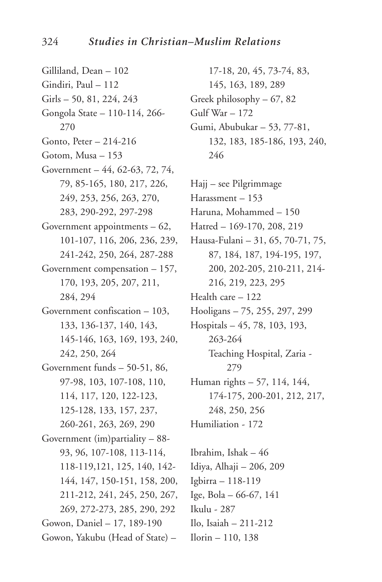Gilliland, Dean – 102 Gindiri, Paul – 112 Girls – 50, 81, 224, 243 Gongola State – 110-114, 266- 270 Gonto, Peter – 214-216 Gotom, Musa – 153 Government – 44, 62-63, 72, 74, 79, 85-165, 180, 217, 226, 249, 253, 256, 263, 270, 283, 290-292, 297-298 Government appointments – 62, 101-107, 116, 206, 236, 239, 241-242, 250, 264, 287-288 Government compensation – 157, 170, 193, 205, 207, 211, 284, 294 Government confiscation – 103, 133, 136-137, 140, 143, 145-146, 163, 169, 193, 240, 242, 250, 264 Government funds – 50-51, 86, 97-98, 103, 107-108, 110, 114, 117, 120, 122-123, 125-128, 133, 157, 237, 260-261, 263, 269, 290 Government (im)partiality – 88- 93, 96, 107-108, 113-114, 118-119,121, 125, 140, 142- 144, 147, 150-151, 158, 200, 211-212, 241, 245, 250, 267, 269, 272-273, 285, 290, 292 Gowon, Daniel – 17, 189-190 Gowon, Yakubu (Head of State) –

17-18, 20, 45, 73-74, 83, 145, 163, 189, 289 Greek philosophy – 67, 82 Gulf War – 172 Gumi, Abubukar – 53, 77-81, 132, 183, 185-186, 193, 240, 246

Hajj – see Pilgrimmage Harassment – 153 Haruna, Mohammed – 150 Hatred – 169-170, 208, 219 Hausa-Fulani – 31, 65, 70-71, 75, 87, 184, 187, 194-195, 197, 200, 202-205, 210-211, 214- 216, 219, 223, 295 Health care – 122 Hooligans – 75, 255, 297, 299 Hospitals – 45, 78, 103, 193, 263-264 Teaching Hospital, Zaria - 279 Human rights – 57, 114, 144, 174-175, 200-201, 212, 217, 248, 250, 256 Humiliation - 172

Ibrahim, Ishak – 46 Idiya, Alhaji – 206, 209 Igbirra – 118-119 Ige, Bola – 66-67, 141 Ikulu - 287 Ilo, Isaiah – 211-212 Ilorin – 110, 138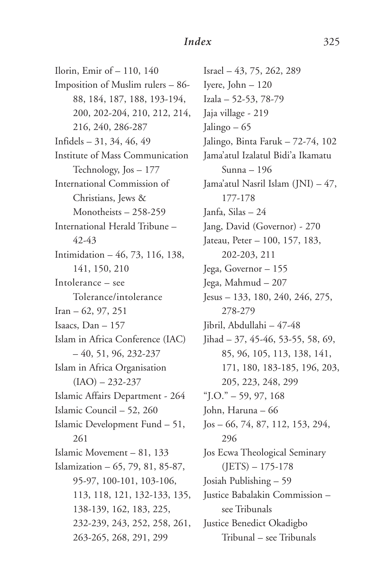Ilorin, Emir of – 110, 140 Imposition of Muslim rulers – 86- 88, 184, 187, 188, 193-194, 200, 202-204, 210, 212, 214, 216, 240, 286-287 Infidels – 31, 34, 46, 49 Institute of Mass Communication Technology, Jos – 177 International Commission of Christians, Jews & Monotheists – 258-259 International Herald Tribune – 42-43 Intimidation – 46, 73, 116, 138, 141, 150, 210 Intolerance – see Tolerance/intolerance Iran – 62, 97, 251 Isaacs, Dan – 157 Islam in Africa Conference (IAC) – 40, 51, 96, 232-237 Islam in Africa Organisation  $(IAO) - 232 - 237$ Islamic Affairs Department - 264 Islamic Council – 52, 260 Islamic Development Fund – 51, 261 Islamic Movement – 81, 133 Islamization – 65, 79, 81, 85-87, 95-97, 100-101, 103-106, 113, 118, 121, 132-133, 135, 138-139, 162, 183, 225, 232-239, 243, 252, 258, 261, 263-265, 268, 291, 299

Israel – 43, 75, 262, 289 Iyere, John – 120 Izala – 52-53, 78-79 Jaja village - 219 Jalingo – 65 Jalingo, Binta Faruk – 72-74, 102 Jama'atul Izalatul Bidi'a Ikamatu Sunna – 196 Jama'atul Nasril Islam (JNI) – 47, 177-178 Janfa, Silas – 24 Jang, David (Governor) - 270 Jateau, Peter – 100, 157, 183, 202-203, 211 Jega, Governor – 155 Jega, Mahmud – 207 Jesus – 133, 180, 240, 246, 275, 278-279 Jibril, Abdullahi – 47-48 Jihad – 37, 45-46, 53-55, 58, 69, 85, 96, 105, 113, 138, 141, 171, 180, 183-185, 196, 203, 205, 223, 248, 299  $\text{``}$  J.O." – 59, 97, 168 John, Haruna – 66 Jos – 66, 74, 87, 112, 153, 294, 296 Jos Ecwa Theological Seminary  $(JETS) - 175-178$ Josiah Publishing – 59 Justice Babalakin Commission – see Tribunals Justice Benedict Okadigbo Tribunal – see Tribunals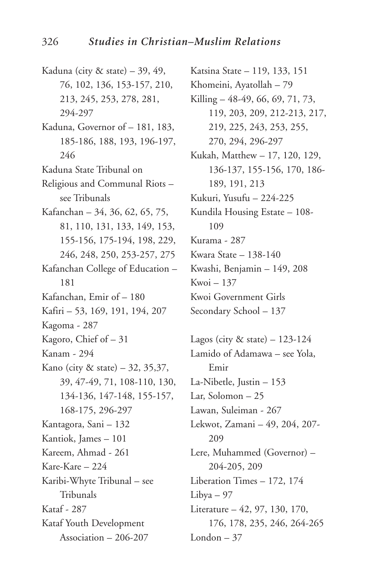- Kaduna (city & state) 39, 49, 76, 102, 136, 153-157, 210, 213, 245, 253, 278, 281, 294-297
- Kaduna, Governor of 181, 183, 185-186, 188, 193, 196-197, 246
- Kaduna State Tribunal on
- Religious and Communal Riots see Tribunals
- Kafanchan 34, 36, 62, 65, 75, 81, 110, 131, 133, 149, 153, 155-156, 175-194, 198, 229,
- 246, 248, 250, 253-257, 275 Kafanchan College of Education – 181 Kafanchan, Emir of – 180
- Kafiri 53, 169, 191, 194, 207 Kagoma - 287
- Kagoro, Chief of 31
- Kanam 294
- Kano (city & state) 32, 35,37, 39, 47-49, 71, 108-110, 130, 134-136, 147-148, 155-157, 168-175, 296-297 Kantagora, Sani – 132 Kantiok, James – 101 Kareem, Ahmad - 261 Kare-Kare – 224 Karibi-Whyte Tribunal – see Tribunals Kataf - 287
- Kataf Youth Development Association – 206-207

Katsina State – 119, 133, 151 Khomeini, Ayatollah – 79 Killing – 48-49, 66, 69, 71, 73, 119, 203, 209, 212-213, 217, 219, 225, 243, 253, 255, 270, 294, 296-297 Kukah, Matthew – 17, 120, 129, 136-137, 155-156, 170, 186- 189, 191, 213 Kukuri, Yusufu – 224-225 Kundila Housing Estate – 108- 109 Kurama - 287 Kwara State – 138-140 Kwashi, Benjamin – 149, 208 Kwoi – 137 Kwoi Government Girls Secondary School – 137

Lagos (city & state) – 123-124 Lamido of Adamawa – see Yola, Emir La-Nibetle, Justin – 153 Lar, Solomon – 25 Lawan, Suleiman - 267 Lekwot, Zamani – 49, 204, 207- 209 Lere, Muhammed (Governor) – 204-205, 209 Liberation Times – 172, 174 Libya – 97 Literature – 42, 97, 130, 170, 176, 178, 235, 246, 264-265 London – 37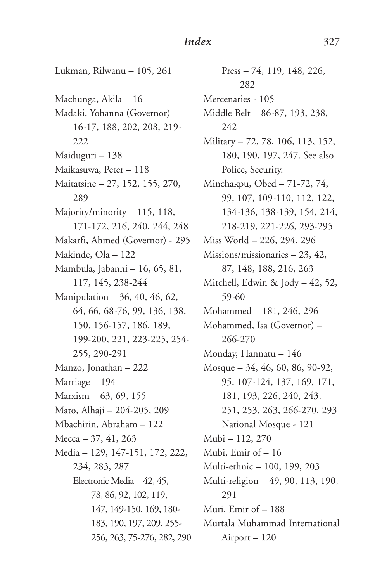Lukman, Rilwanu – 105, 261 Machunga, Akila – 16 Madaki, Yohanna (Governor) – 16-17, 188, 202, 208, 219- 222 Maiduguri – 138 Maikasuwa, Peter – 118 Maitatsine – 27, 152, 155, 270, 289 Majority/minority – 115, 118, 171-172, 216, 240, 244, 248 Makarfi, Ahmed (Governor) - 295 Makinde, Ola – 122 Mambula, Jabanni – 16, 65, 81, 117, 145, 238-244 Manipulation – 36, 40, 46, 62, 64, 66, 68-76, 99, 136, 138, 150, 156-157, 186, 189, 199-200, 221, 223-225, 254- 255, 290-291 Manzo, Jonathan – 222 Marriage – 194 Marxism – 63, 69, 155 Mato, Alhaji – 204-205, 209 Mbachirin, Abraham – 122 Mecca – 37, 41, 263 Media – 129, 147-151, 172, 222, 234, 283, 287 Electronic Media – 42, 45, 78, 86, 92, 102, 119, 147, 149-150, 169, 180- 183, 190, 197, 209, 255- 256, 263, 75-276, 282, 290

Press – 74, 119, 148, 226, 282 Mercenaries - 105 Middle Belt – 86-87, 193, 238, 242 Military – 72, 78, 106, 113, 152, 180, 190, 197, 247. See also Police, Security. Minchakpu, Obed – 71-72, 74, 99, 107, 109-110, 112, 122, 134-136, 138-139, 154, 214, 218-219, 221-226, 293-295 Miss World – 226, 294, 296 Missions/missionaries – 23, 42, 87, 148, 188, 216, 263 Mitchell, Edwin & Jody – 42, 52, 59-60 Mohammed – 181, 246, 296 Mohammed, Isa (Governor) – 266-270 Monday, Hannatu – 146 Mosque – 34, 46, 60, 86, 90-92, 95, 107-124, 137, 169, 171, 181, 193, 226, 240, 243, 251, 253, 263, 266-270, 293 National Mosque - 121 Mubi – 112, 270 Mubi, Emir of – 16 Multi-ethnic – 100, 199, 203 Multi-religion – 49, 90, 113, 190, 291 Muri, Emir of – 188 Murtala Muhammad International Airport – 120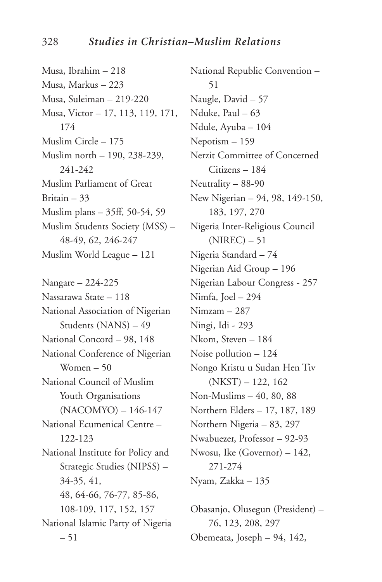Musa, Ibrahim – 218 Musa, Markus – 223 Musa, Suleiman – 219-220 Musa, Victor – 17, 113, 119, 171, 174 Muslim Circle – 175 Muslim north – 190, 238-239, 241-242 Muslim Parliament of Great Britain – 33 Muslim plans – 35ff, 50-54, 59 Muslim Students Society (MSS) – 48-49, 62, 246-247 Muslim World League – 121 Nangare – 224-225 Nassarawa State – 118 National Association of Nigerian Students (NANS) – 49 National Concord – 98, 148 National Conference of Nigerian Women – 50 National Council of Muslim Youth Organisations (NACOMYO) – 146-147 National Ecumenical Centre – 122-123 National Institute for Policy and

Strategic Studies (NIPSS) – 34-35, 41, 48, 64-66, 76-77, 85-86, 108-109, 117, 152, 157 National Islamic Party of Nigeria – 51

National Republic Convention – 51 Naugle, David – 57 Nduke, Paul – 63 Ndule, Ayuba – 104 Nepotism – 159 Nerzit Committee of Concerned Citizens – 184 Neutrality – 88-90 New Nigerian – 94, 98, 149-150, 183, 197, 270 Nigeria Inter-Religious Council  $(NIREC) - 51$ Nigeria Standard – 74 Nigerian Aid Group – 196 Nigerian Labour Congress - 257 Nimfa, Joel – 294 Nimzam – 287 Ningi, Idi - 293 Nkom, Steven – 184 Noise pollution – 124 Nongo Kristu u Sudan Hen Tiv (NKST) – 122, 162 Non-Muslims – 40, 80, 88 Northern Elders – 17, 187, 189 Northern Nigeria – 83, 297 Nwabuezer, Professor – 92-93 Nwosu, Ike (Governor) – 142, 271-274 Nyam, Zakka – 135

Obasanjo, Olusegun (President) – 76, 123, 208, 297 Obemeata, Joseph – 94, 142,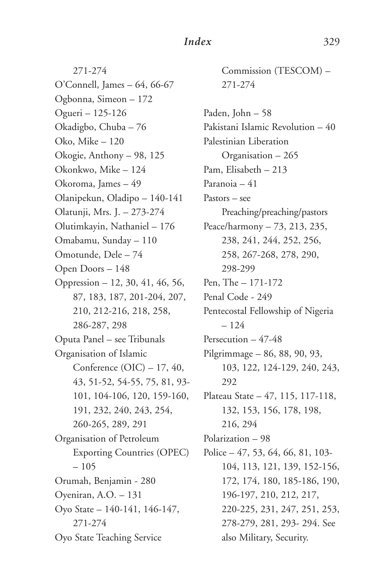271-274 O'Connell, James – 64, 66-67 Ogbonna, Simeon – 172 Ogueri – 125-126 Okadigbo, Chuba – 76 Oko, Mike – 120 Okogie, Anthony – 98, 125 Okonkwo, Mike – 124 Okoroma, James – 49 Olanipekun, Oladipo – 140-141 Olatunji, Mrs. J. – 273-274 Olutimkayin, Nathaniel – 176 Omabamu, Sunday – 110 Omotunde, Dele – 74 Open Doors – 148 Oppression – 12, 30, 41, 46, 56, 87, 183, 187, 201-204, 207, 210, 212-216, 218, 258, 286-287, 298 Oputa Panel – see Tribunals Organisation of Islamic Conference (OIC) – 17, 40, 43, 51-52, 54-55, 75, 81, 93- 101, 104-106, 120, 159-160, 191, 232, 240, 243, 254, 260-265, 289, 291 Organisation of Petroleum Exporting Countries (OPEC) – 105 Orumah, Benjamin - 280 Oyeniran, A.O. – 131 Oyo State – 140-141, 146-147, 271-274 Oyo State Teaching Service

Commission (TESCOM) – 271-274

Paden, John – 58 Pakistani Islamic Revolution – 40 Palestinian Liberation Organisation – 265 Pam, Elisabeth – 213 Paranoia – 41 Pastors – see Preaching/preaching/pastors Peace/harmony – 73, 213, 235, 238, 241, 244, 252, 256, 258, 267-268, 278, 290, 298-299 Pen, The – 171-172 Penal Code - 249 Pentecostal Fellowship of Nigeria – 124 Persecution – 47-48 Pilgrimmage – 86, 88, 90, 93, 103, 122, 124-129, 240, 243, 292 Plateau State – 47, 115, 117-118, 132, 153, 156, 178, 198, 216, 294 Polarization – 98 Police – 47, 53, 64, 66, 81, 103- 104, 113, 121, 139, 152-156, 172, 174, 180, 185-186, 190, 196-197, 210, 212, 217, 220-225, 231, 247, 251, 253, 278-279, 281, 293- 294. See also Military, Security.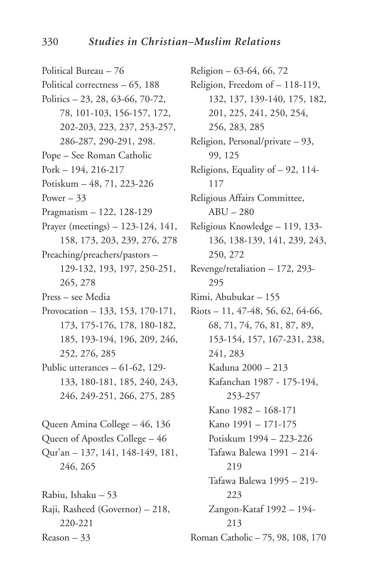Political Bureau – 76 Political correctness – 65, 188 Politics – 23, 28, 63-66, 70-72, 78, 101-103, 156-157, 172, 202-203, 223, 237, 253-257, 286-287, 290-291, 298. Pope – See Roman Catholic Pork – 194, 216-217 Potiskum – 48, 71, 223-226 Power  $-33$ Pragmatism – 122, 128-129 Prayer (meetings) – 123-124, 141, 158, 173, 203, 239, 276, 278 Preaching/preachers/pastors – 129-132, 193, 197, 250-251, 265, 278 Press – see Media Provocation – 133, 153, 170-171, 173, 175-176, 178, 180-182, 185, 193-194, 196, 209, 246, 252, 276, 285 Public utterances – 61-62, 129- 133, 180-181, 185, 240, 243, 246, 249-251, 266, 275, 285 Queen Amina College – 46, 136 Queen of Apostles College – 46 Qur'an – 137, 141, 148-149, 181, 246, 265 Rabiu, Ishaku – 53 Raji, Rasheed (Governor) – 218, 220-221

Reason – 33

Religion – 63-64, 66, 72 Religion, Freedom of – 118-119, 132, 137, 139-140, 175, 182, 201, 225, 241, 250, 254, 256, 283, 285 Religion, Personal/private – 93, 99, 125 Religions, Equality of – 92, 114- 117 Religious Affairs Committee, ABU – 280 Religious Knowledge – 119, 133- 136, 138-139, 141, 239, 243, 250, 272 Revenge/retaliation – 172, 293- 295 Rimi, Abubukar – 155 Riots – 11, 47-48, 56, 62, 64-66, 68, 71, 74, 76, 81, 87, 89, 153-154, 157, 167-231, 238, 241, 283 Kaduna 2000 – 213 Kafanchan 1987 - 175-194, 253-257 Kano 1982 – 168-171 Kano 1991 – 171-175 Potiskum 1994 – 223-226 Tafawa Balewa 1991 – 214- 219 Tafawa Balewa 1995 – 219- 223 Zangon-Kataf 1992 – 194- 213 Roman Catholic – 75, 98, 108, 170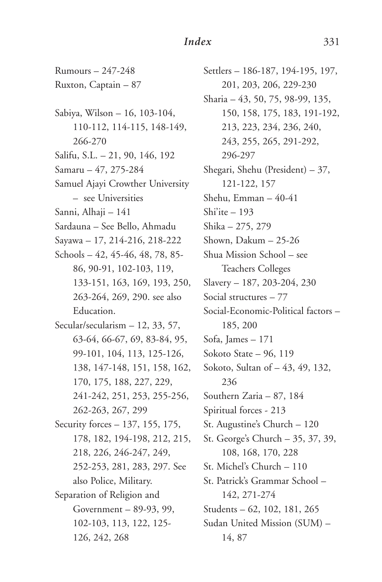Rumours – 247-248 Ruxton, Captain – 87

Sabiya, Wilson – 16, 103-104, 110-112, 114-115, 148-149, 266-270 Salifu, S.L. – 21, 90, 146, 192

Samaru – 47, 275-284

Samuel Ajayi Crowther University – see Universities

Sanni, Alhaji – 141

Sardauna – See Bello, Ahmadu

Sayawa – 17, 214-216, 218-222

Schools – 42, 45-46, 48, 78, 85- 86, 90-91, 102-103, 119, 133-151, 163, 169, 193, 250, 263-264, 269, 290. see also Education.

Secular/secularism – 12, 33, 57, 63-64, 66-67, 69, 83-84, 95, 99-101, 104, 113, 125-126, 138, 147-148, 151, 158, 162, 170, 175, 188, 227, 229, 241-242, 251, 253, 255-256, 262-263, 267, 299

Security forces – 137, 155, 175, 178, 182, 194-198, 212, 215, 218, 226, 246-247, 249, 252-253, 281, 283, 297. See also Police, Military. Separation of Religion and Government – 89-93, 99, 102-103, 113, 122, 125- 126, 242, 268

Settlers – 186-187, 194-195, 197, 201, 203, 206, 229-230 Sharia – 43, 50, 75, 98-99, 135, 150, 158, 175, 183, 191-192, 213, 223, 234, 236, 240, 243, 255, 265, 291-292, 296-297 Shegari, Shehu (President) – 37, 121-122, 157 Shehu, Emman – 40-41 Shi'ite – 193 Shika – 275, 279 Shown, Dakum – 25-26 Shua Mission School – see Teachers Colleges Slavery – 187, 203-204, 230 Social structures – 77 Social-Economic-Political factors – 185, 200 Sofa, James – 171 Sokoto State – 96, 119 Sokoto, Sultan of – 43, 49, 132, 236 Southern Zaria – 87, 184 Spiritual forces - 213 St. Augustine's Church – 120 St. George's Church – 35, 37, 39, 108, 168, 170, 228 St. Michel's Church – 110 St. Patrick's Grammar School – 142, 271-274 Students – 62, 102, 181, 265 Sudan United Mission (SUM) – 14, 87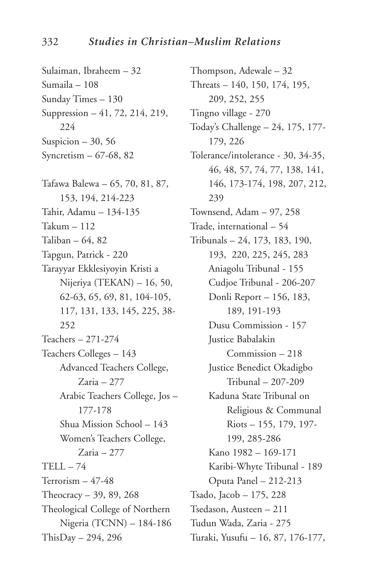Sulaiman, Ibraheem – 32 Sumaila – 108 Sunday Times – 130 Suppression – 41, 72, 214, 219, 224 Suspicion –  $30, 56$ Syncretism – 67-68, 82 Tafawa Balewa – 65, 70, 81, 87, 153, 194, 214-223 Tahir, Adamu – 134-135 Takum – 112 Taliban – 64, 82 Tapgun, Patrick - 220 Tarayyar Ekklesiyoyin Kristi a Nijeriya (TEKAN) – 16, 50, 62-63, 65, 69, 81, 104-105, 117, 131, 133, 145, 225, 38- 252 Teachers – 271-274 Teachers Colleges – 143 Advanced Teachers College, Zaria – 277 Arabic Teachers College, Jos – 177-178 Shua Mission School – 143 Women's Teachers College, Zaria – 277  $TELL - 74$ Terrorism – 47-48 Theocracy – 39, 89, 268 Theological College of Northern Nigeria (TCNN) – 184-186 ThisDay – 294, 296

Thompson, Adewale – 32 Threats – 140, 150, 174, 195, 209, 252, 255 Tingno village - 270 Today's Challenge – 24, 175, 177- 179, 226 Tolerance/intolerance - 30, 34-35, 46, 48, 57, 74, 77, 138, 141, 146, 173-174, 198, 207, 212, 239 Townsend, Adam – 97, 258 Trade, international – 54 Tribunals – 24, 173, 183, 190, 193, 220, 225, 245, 283 Aniagolu Tribunal - 155 Cudjoe Tribunal - 206-207 Donli Report – 156, 183, 189, 191-193 Dusu Commission - 157 Justice Babalakin Commission – 218 Justice Benedict Okadigbo Tribunal – 207-209 Kaduna State Tribunal on Religious & Communal Riots – 155, 179, 197- 199, 285-286 Kano 1982 – 169-171 Karibi-Whyte Tribunal - 189 Oputa Panel – 212-213 Tsado, Jacob – 175, 228 Tsedason, Austeen – 211 Tudun Wada, Zaria - 275 Turaki, Yusufu – 16, 87, 176-177,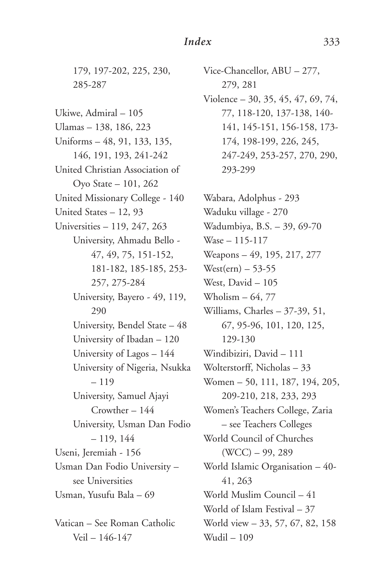179, 197-202, 225, 230, 285-287

Ukiwe, Admiral – 105 Ulamas – 138, 186, 223 Uniforms – 48, 91, 133, 135, 146, 191, 193, 241-242 United Christian Association of Oyo State – 101, 262 United Missionary College - 140 United States – 12, 93 Universities – 119, 247, 263 University, Ahmadu Bello - 47, 49, 75, 151-152, 181-182, 185-185, 253- 257, 275-284 University, Bayero - 49, 119, 290 University, Bendel State – 48 University of Ibadan – 120 University of Lagos – 144 University of Nigeria, Nsukka – 119 University, Samuel Ajayi Crowther – 144 University, Usman Dan Fodio – 119, 144 Useni, Jeremiah - 156 Usman Dan Fodio University – see Universities Usman, Yusufu Bala – 69 Vatican – See Roman Catholic

Veil – 146-147

Vice-Chancellor, ABU – 277, 279, 281 Violence – 30, 35, 45, 47, 69, 74, 77, 118-120, 137-138, 140- 141, 145-151, 156-158, 173- 174, 198-199, 226, 245, 247-249, 253-257, 270, 290, 293-299

Wabara, Adolphus - 293 Waduku village - 270 Wadumbiya, B.S. – 39, 69-70 Wase – 115-117 Weapons – 49, 195, 217, 277  $West(ern) - 53-55$ West, David – 105 Wholism  $-64, 77$ Williams, Charles – 37-39, 51, 67, 95-96, 101, 120, 125, 129-130 Windibiziri, David – 111 Wolterstorff, Nicholas – 33 Women – 50, 111, 187, 194, 205, 209-210, 218, 233, 293 Women's Teachers College, Zaria – see Teachers Colleges World Council of Churches (WCC) – 99, 289 World Islamic Organisation – 40- 41, 263 World Muslim Council – 41 World of Islam Festival – 37 World view – 33, 57, 67, 82, 158 Wudil – 109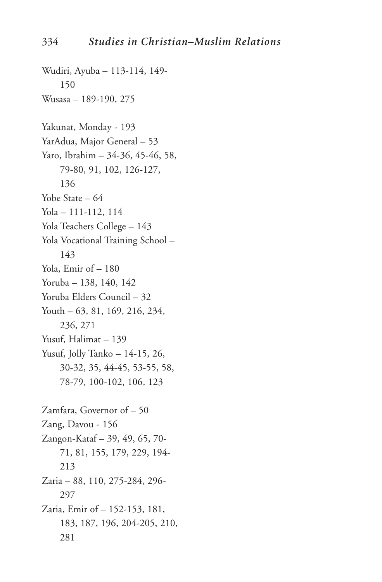Wudiri, Ayuba – 113-114, 149- 150 Wusasa – 189-190, 275 Yakunat, Monday - 193 YarAdua, Major General – 53 Yaro, Ibrahim – 34-36, 45-46, 58, 79-80, 91, 102, 126-127, 136 Yobe State – 64 Yola – 111-112, 114 Yola Teachers College – 143 Yola Vocational Training School – 143 Yola, Emir of – 180 Yoruba – 138, 140, 142 Yoruba Elders Council – 32 Youth – 63, 81, 169, 216, 234, 236, 271 Yusuf, Halimat – 139 Yusuf, Jolly Tanko – 14-15, 26, 30-32, 35, 44-45, 53-55, 58, 78-79, 100-102, 106, 123 Zamfara, Governor of – 50 Zang, Davou - 156 Zangon-Kataf – 39, 49, 65, 70- 71, 81, 155, 179, 229, 194- 213 Zaria – 88, 110, 275-284, 296- 297 Zaria, Emir of – 152-153, 181, 183, 187, 196, 204-205, 210, 281